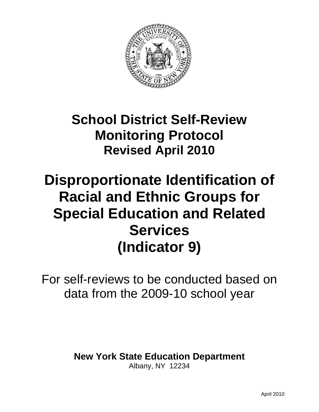

## **School District Self-Review Monitoring Protocol Revised April 2010**

## **Disproportionate Identification of Racial and Ethnic Groups for Special Education and Related Services (Indicator 9)**

For self-reviews to be conducted based on data from the 2009-10 school year

> **New York State Education Department**  Albany, NY 12234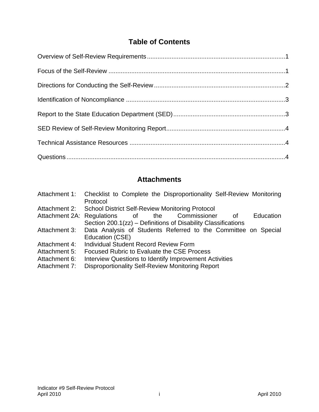## **Table of Contents**

## **Attachments**

| Checklist to Complete the Disproportionality Self-Review Monitoring<br>Protocol |
|---------------------------------------------------------------------------------|
| Attachment 2: School District Self-Review Monitoring Protocol                   |
| Attachment 2A: Regulations of the<br>Commissioner<br>Education<br>Οf            |
| Section 200.1(zz) – Definitions of Disability Classifications                   |
| Data Analysis of Students Referred to the Committee on Special                  |
| Education (CSE)                                                                 |
| <b>Individual Student Record Review Form</b>                                    |
| <b>Focused Rubric to Evaluate the CSE Process</b>                               |
| <b>Interview Questions to Identify Improvement Activities</b>                   |
| Disproportionality Self-Review Monitoring Report                                |
|                                                                                 |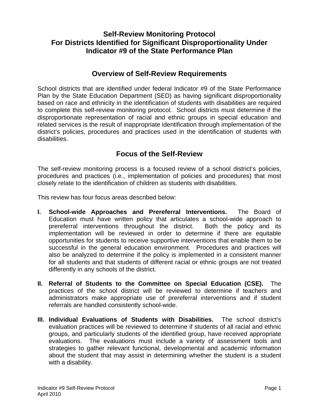## **Self-Review Monitoring Protocol For Districts Identified for Significant Disproportionality Under Indicator #9 of the State Performance Plan**

## **Overview of Self-Review Requirements**

School districts that are identified under federal Indicator #9 of the State Performance Plan by the State Education Department (SED) as having significant disproportionality based on race and ethnicity in the identification of students with disabilities are required to complete this self-review monitoring protocol. School districts must determine if the disproportionate representation of racial and ethnic groups in special education and related services is the result of inappropriate identification through implementation of the district's policies, procedures and practices used in the identification of students with disabilities.

## **Focus of the Self-Review**

The self-review monitoring process is a focused review of a school district's policies, procedures and practices (i.e., implementation of policies and procedures) that most closely relate to the identification of children as students with disabilities.

This review has four focus areas described below:

- **I. School-wide Approaches and Prereferral Interventions.** The Board of Education must have written policy that articulates a school-wide approach to prereferral interventions throughout the district. Both the policy and its implementation will be reviewed in order to determine if there are equitable opportunities for students to receive supportive interventions that enable them to be successful in the general education environment. Procedures and practices will also be analyzed to determine if the policy is implemented in a consistent manner for all students and that students of different racial or ethnic groups are not treated differently in any schools of the district.
- **II. Referral of Students to the Committee on Special Education (CSE).** The practices of the school district will be reviewed to determine if teachers and administrators make appropriate use of prereferral interventions and if student referrals are handled consistently school-wide.
- **III. Individual Evaluations of Students with Disabilities.** The school district's evaluation practices will be reviewed to determine if students of all racial and ethnic groups, and particularly students of the identified group, have received appropriate evaluations. The evaluations must include a variety of assessment tools and strategies to gather relevant functional, developmental and academic information about the student that may assist in determining whether the student is a student with a disability.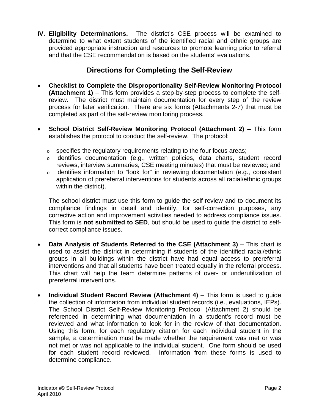**IV. Eligibility Determinations.** The district's CSE process will be examined to determine to what extent students of the identified racial and ethnic groups are provided appropriate instruction and resources to promote learning prior to referral and that the CSE recommendation is based on the students' evaluations.

## **Directions for Completing the Self-Review**

- **Checklist to Complete the Disproportionality Self-Review Monitoring Protocol (Attachment 1)** – This form provides a step-by-step process to complete the selfreview. The district must maintain documentation for every step of the review process for later verification. There are six forms (Attachments 2-7) that must be completed as part of the self-review monitoring process.
- **School District Self-Review Monitoring Protocol (Attachment 2)** This form establishes the protocol to conduct the self-review. The protocol:
	- $\circ$  specifies the regulatory requirements relating to the four focus areas;
	- o identifies documentation (e.g., written policies, data charts, student record reviews, interview summaries, CSE meeting minutes) that must be reviewed; and
	- o identifies information to "look for" in reviewing documentation (e.g., consistent application of prereferral interventions for students across all racial/ethnic groups within the district).

 The school district must use this form to guide the self-review and to document its compliance findings in detail and identify, for self-correction purposes, any corrective action and improvement activities needed to address compliance issues. This form is **not submitted to SED**, but should be used to guide the district to selfcorrect compliance issues.

- **Data Analysis of Students Referred to the CSE (Attachment 3)** This chart is used to assist the district in determining if students of the identified racial/ethnic groups in all buildings within the district have had equal access to prereferral interventions and that all students have been treated equally in the referral process. This chart will help the team determine patterns of over- or underutilization of prereferral interventions.
- **Individual Student Record Review (Attachment 4)** This form is used to guide the collection of information from individual student records (i.e., evaluations, IEPs). The School District Self-Review Monitoring Protocol (Attachment 2) should be referenced in determining what documentation in a student's record must be reviewed and what information to look for in the review of that documentation. Using this form, for each regulatory citation for each individual student in the sample, a determination must be made whether the requirement was met or was not met or was not applicable to the individual student. One form should be used for each student record reviewed. Information from these forms is used to determine compliance.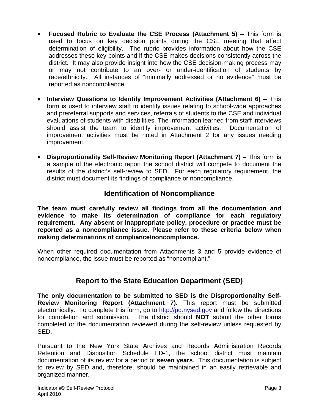- **Focused Rubric to Evaluate the CSE Process (Attachment 5)** This form is used to focus on key decision points during the CSE meeting that affect determination of eligibility. The rubric provides information about how the CSE addresses these key points and if the CSE makes decisions consistently across the district. It may also provide insight into how the CSE decision-making process may or may not contribute to an over- or under-identification of students by race/ethnicity. All instances of "minimally addressed or no evidence" must be reported as noncompliance.
- **Interview Questions to Identify Improvement Activities (Attachment 6)** This form is used to interview staff to identify issues relating to school-wide approaches and prereferral supports and services, referrals of students to the CSE and individual evaluations of students with disabilities. The information learned from staff interviews should assist the team to identify improvement activities. Documentation of improvement activities must be noted in Attachment 2 for any issues needing improvement.
- **Disproportionality Self-Review Monitoring Report (Attachment 7)** This form is a sample of the electronic report the school district will compete to document the results of the district's self-review to SED. For each regulatory requirement, the district must document its findings of compliance or noncompliance.

## **Identification of Noncompliance**

**The team must carefully review all findings from all the documentation and evidence to make its determination of compliance for each regulatory requirement. Any absent or inappropriate policy, procedure or practice must be reported as a noncompliance issue. Please refer to these criteria below when making determinations of compliance/noncompliance.** 

When other required documentation from Attachments 3 and 5 provide evidence of noncompliance, the issue must be reported as "noncompliant."

## **Report to the State Education Department (SED)**

**The only documentation to be submitted to SED is the Disproportionality Self-Review Monitoring Report (Attachment 7).** This report must be submitted electronically. To complete this form, go to [http://pd.nysed.gov](http://pd.nysed.gov/) and follow the directions for completion and submission. The district should **NOT** submit the other forms completed or the documentation reviewed during the self-review unless requested by SED.

Pursuant to the New York State Archives and Records Administration Records Retention and Disposition Schedule ED-1, the school district must maintain documentation of its review for a period of **seven years**. This documentation is subject to review by SED and, therefore, should be maintained in an easily retrievable and organized manner.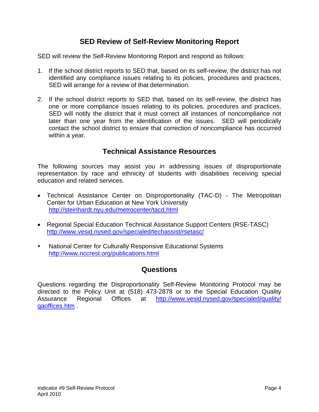## **SED Review of Self-Review Monitoring Report**

SED will review the Self-Review Monitoring Report and respond as follows:

- 1. If the school district reports to SED that, based on its self-review, the district has not identified any compliance issues relating to its policies, procedures and practices, SED will arrange for a review of that determination.
- 2. If the school district reports to SED that, based on its self-review, the district has one or more compliance issues relating to its policies, procedures and practices, SED will notify the district that it must correct all instances of noncompliance not later than one year from the identification of the issues. SED will periodically contact the school district to ensure that correction of noncompliance has occurred within a year.

## **Technical Assistance Resources**

The following sources may assist you in addressing issues of disproportionate representation by race and ethnicity of students with disabilities receiving special education and related services.

- Technical Assistance Center on Disproportionality (TAC-D) The Metropolitan Center for Urban Education at New York University <http://steinhardt.nyu.edu/metrocenter/tacd.html>
- Regional Special Education Technical Assistance Support Centers (RSE-TASC) <http://www.vesid.nysed.gov/specialed/techassist/rsetasc/>
- National Center for Culturally Responsive Educational Systems <http://www.nccrest.org/publications.html>

### **Questions**

Questions regarding the Disproportionality Self-Review Monitoring Protocol may be directed to the Policy Unit at (518) 473-2878 or to the Special Education Quality Assurance Regional Offices at [http://www.vesid.nysed.gov/specialed/quality/](http://www.vesid.nysed.gov/specialed/quality/qaoffices.htm) [qaoffices.htm](http://www.vesid.nysed.gov/specialed/quality/qaoffices.htm) .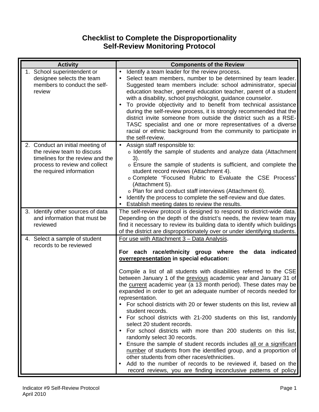## **Checklist to Complete the Disproportionality Self-Review Monitoring Protocol**

| <b>Activity</b>                                                                                                                                                 | <b>Components of the Review</b>                                                                                                                                                                                                                                                                                                                                                                                                                                                                                                                                                                                                                                                                                                                                                                                                                                                                                                                                                                                                                                                                |
|-----------------------------------------------------------------------------------------------------------------------------------------------------------------|------------------------------------------------------------------------------------------------------------------------------------------------------------------------------------------------------------------------------------------------------------------------------------------------------------------------------------------------------------------------------------------------------------------------------------------------------------------------------------------------------------------------------------------------------------------------------------------------------------------------------------------------------------------------------------------------------------------------------------------------------------------------------------------------------------------------------------------------------------------------------------------------------------------------------------------------------------------------------------------------------------------------------------------------------------------------------------------------|
| 1. School superintendent or<br>designee selects the team<br>members to conduct the self-<br>review                                                              | Identify a team leader for the review process.<br>Select team members, number to be determined by team leader.<br>$\bullet$<br>Suggested team members include: school administrator, special<br>education teacher, general education teacher, parent of a student<br>with a disability, school psychologist, guidance counselor.<br>To provide objectivity and to benefit from technical assistance<br>during the self-review process, it is strongly recommended that the<br>district invite someone from outside the district such as a RSE-<br>TASC specialist and one or more representatives of a diverse<br>racial or ethnic background from the community to participate in<br>the self-review.                                                                                                                                                                                                                                                                                                                                                                                         |
| 2. Conduct an initial meeting of<br>the review team to discuss<br>timelines for the review and the<br>process to review and collect<br>the required information | • Assign staff responsible to:<br>o Identify the sample of students and analyze data (Attachment<br>3).<br>o Ensure the sample of students is sufficient, and complete the<br>student record reviews (Attachment 4).<br>o Complete "Focused Rubric to Evaluate the CSE Process"<br>(Attachment 5).<br>o Plan for and conduct staff interviews (Attachment 6).<br>Identify the process to complete the self-review and due dates.<br>Establish meeting dates to review the results.                                                                                                                                                                                                                                                                                                                                                                                                                                                                                                                                                                                                             |
| 3. Identify other sources of data<br>and information that must be<br>reviewed                                                                                   | The self-review protocol is designed to respond to district-wide data.<br>Depending on the depth of the district's needs, the review team may<br>find it necessary to review its building data to identify which buildings<br>of the district are disproportionately over or under identifying students.                                                                                                                                                                                                                                                                                                                                                                                                                                                                                                                                                                                                                                                                                                                                                                                       |
| 4. Select a sample of student<br>records to be reviewed                                                                                                         | For use with Attachment 3 - Data Analysis.<br>For each race/ethnicity group where the data indicated<br>overrepresentation in special education:<br>Compile a list of all students with disabilities referred to the CSE<br>between January 1 of the previous academic year and January 31 of<br>the current academic year (a 13 month period). These dates may be<br>expanded in order to get an adequate number of records needed for<br>representation.<br>• For school districts with 20 or fewer students on this list, review all<br>student records.<br>For school districts with 21-200 students on this list, randomly<br>select 20 student records.<br>For school districts with more than 200 students on this list,<br>randomly select 30 records.<br>• Ensure the sample of student records includes all or a significant<br>number of students from the identified group, and a proportion of<br>other students from other races/ethnicities.<br>Add to the number of records to be reviewed if, based on the<br>record reviews, you are finding inconclusive patterns of policy |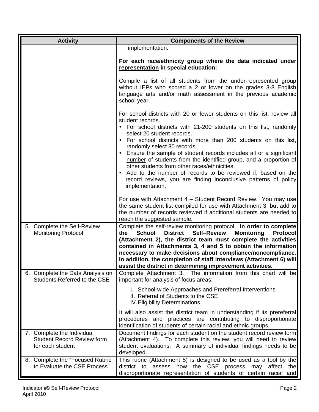| <b>Activity</b>                                                                     | <b>Components of the Review</b>                                                                                                                                                                                                                                                                                                                                                                                                                                                                                    |
|-------------------------------------------------------------------------------------|--------------------------------------------------------------------------------------------------------------------------------------------------------------------------------------------------------------------------------------------------------------------------------------------------------------------------------------------------------------------------------------------------------------------------------------------------------------------------------------------------------------------|
|                                                                                     | implementation.                                                                                                                                                                                                                                                                                                                                                                                                                                                                                                    |
|                                                                                     | For each race/ethnicity group where the data indicated under<br>representation in special education:                                                                                                                                                                                                                                                                                                                                                                                                               |
|                                                                                     | Compile a list of all students from the under-represented group<br>without IEPs who scored a 2 or lower on the grades 3-8 English<br>language arts and/or math assessment in the previous academic<br>school year.                                                                                                                                                                                                                                                                                                 |
|                                                                                     | For school districts with 20 or fewer students on this list, review all<br>student records.                                                                                                                                                                                                                                                                                                                                                                                                                        |
|                                                                                     | • For school districts with 21-200 students on this list, randomly<br>select 20 student records.<br>For school districts with more than 200 students on this list,                                                                                                                                                                                                                                                                                                                                                 |
|                                                                                     | randomly select 30 records.<br>Ensure the sample of student records includes all or a significant<br>number of students from the identified group, and a proportion of<br>other students from other races/ethnicities.                                                                                                                                                                                                                                                                                             |
|                                                                                     | Add to the number of records to be reviewed if, based on the<br>record reviews, you are finding inconclusive patterns of policy<br>implementation.                                                                                                                                                                                                                                                                                                                                                                 |
|                                                                                     | For use with Attachment 4 - Student Record Review. You may use<br>the same student list compiled for use with Attachment 3, but add to<br>the number of records reviewed if additional students are needed to<br>reach the suggested sample.                                                                                                                                                                                                                                                                       |
| 5. Complete the Self-Review<br><b>Monitoring Protocol</b>                           | Complete the self-review monitoring protocol. In order to complete<br><b>Self-Review</b><br><b>Monitoring</b><br><b>School</b><br><b>District</b><br><b>Protocol</b><br>the<br>(Attachment 2), the district team must complete the activities<br>contained in Attachments 3, 4 and 5 to obtain the information<br>necessary to make decisions about compliance/noncompliance.<br>In addition, the completion of staff interviews (Attachment 6) will<br>assist the district in determining improvement activities. |
| 6. Complete the Data Analysis on<br>Students Referred to the CSE                    | Complete Attachment 3. The information from this chart will be<br>important for analysis of focus areas:                                                                                                                                                                                                                                                                                                                                                                                                           |
|                                                                                     | I. School-wide Approaches and Prereferral Interventions<br>II. Referral of Students to the CSE<br>IV. Eligibility Determinations                                                                                                                                                                                                                                                                                                                                                                                   |
|                                                                                     | It will also assist the district team in understanding if its prereferral<br>procedures and practices are contributing to disproportionate<br>identification of students of certain racial and ethnic groups.                                                                                                                                                                                                                                                                                                      |
| 7. Complete the Individual<br><b>Student Record Review form</b><br>for each student | Document findings for each student on the student record review form<br>(Attachment 4). To complete this review, you will need to review<br>student evaluations. A summary of individual findings needs to be<br>developed.                                                                                                                                                                                                                                                                                        |
| 8. Complete the "Focused Rubric<br>to Evaluate the CSE Process"                     | This rubric (Attachment 5) is designed to be used as a tool by the<br>district to assess how the CSE process may<br>affect the<br>disproportionate representation of students of certain racial and                                                                                                                                                                                                                                                                                                                |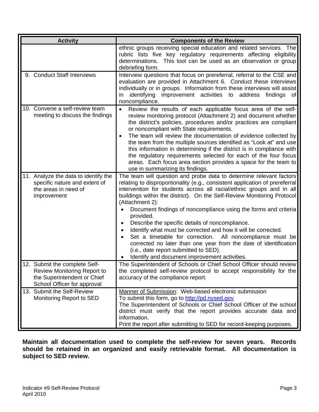| <b>Activity</b>                                                                                                                   | <b>Components of the Review</b>                                                                                                                                                                                                                                                                                                                                                                                                                                                                                                                                                                                                                                                                                                                                  |
|-----------------------------------------------------------------------------------------------------------------------------------|------------------------------------------------------------------------------------------------------------------------------------------------------------------------------------------------------------------------------------------------------------------------------------------------------------------------------------------------------------------------------------------------------------------------------------------------------------------------------------------------------------------------------------------------------------------------------------------------------------------------------------------------------------------------------------------------------------------------------------------------------------------|
|                                                                                                                                   | ethnic groups receiving special education and related services. The<br>rubric lists five key regulatory requirements affecting eligibility<br>determinations. This tool can be used as an observation or group<br>debriefing form.                                                                                                                                                                                                                                                                                                                                                                                                                                                                                                                               |
| 9. Conduct Staff Interviews                                                                                                       | Interview questions that focus on prereferral, referral to the CSE and<br>evaluation are provided in Attachment 6. Conduct these interviews<br>individually or in groups. Information from these interviews will assist<br>improvement activities to address findings<br>identifying<br>in<br>of<br>noncompliance.                                                                                                                                                                                                                                                                                                                                                                                                                                               |
| 10. Convene a self-review team<br>meeting to discuss the findings                                                                 | Review the results of each applicable focus area of the self-<br>review monitoring protocol (Attachment 2) and document whether<br>the district's policies, procedures and/or practices are compliant<br>or noncompliant with State requirements.<br>The team will review the documentation of evidence collected by<br>the team from the multiple sources identified as "Look at" and use<br>this information in determining if the district is in compliance with<br>the regulatory requirements selected for each of the four focus<br>areas. Each focus area section provides a space for the team to<br>use in summarizing its findings.                                                                                                                    |
| 11. Analyze the data to identify the<br>specific nature and extent of<br>the areas in need of<br>improvement                      | The team will question and probe data to determine relevant factors<br>relating to disproportionality (e.g., consistent application of prereferral<br>intervention for students across all racial/ethnic groups and in all<br>buildings within the district). On the Self-Review Monitoring Protocol<br>(Attachment 2):<br>Document findings of noncompliance using the forms and criteria<br>provided.<br>Describe the specific details of noncompliance.<br>٠<br>Identify what must be corrected and how it will be corrected.<br>٠<br>Set a timetable for correction. All noncompliance must be<br>corrected no later than one year from the date of identification<br>(i.e., date report submitted to SED).<br>Identify and document improvement activities. |
| 12. Submit the complete Self-<br><b>Review Monitoring Report to</b><br>the Superintendent or Chief<br>School Officer for approval | The Superintendent of Schools or Chief School Officer should review<br>the completed self-review protocol to accept responsibility for the<br>accuracy of the compliance report.                                                                                                                                                                                                                                                                                                                                                                                                                                                                                                                                                                                 |
| 13. Submit the Self-Review<br>Monitoring Report to SED                                                                            | Manner of Submission: Web-based electronic submission<br>To submit this form, go to http://pd.nysed.gov<br>The Superintendent of Schools or Chief School Officer of the school<br>district must verify that the report provides accurate data and<br>information.<br>Print the report after submitting to SED for record-keeping purposes.                                                                                                                                                                                                                                                                                                                                                                                                                       |

**Maintain all documentation used to complete the self-review for seven years. Records should be retained in an organized and easily retrievable format. All documentation is subject to SED review.**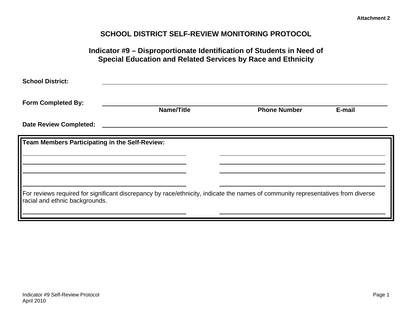## **SCHOOL DISTRICT SELF-REVIEW MONITORING PROTOCOL**

| <b>School District:</b>                        |            |                     |        |
|------------------------------------------------|------------|---------------------|--------|
| <b>Form Completed By:</b>                      | Name/Title | <b>Phone Number</b> | E-mail |
| <b>Date Review Completed:</b>                  |            |                     |        |
| Team Members Participating in the Self-Review: |            |                     |        |
|                                                |            |                     |        |
|                                                |            |                     |        |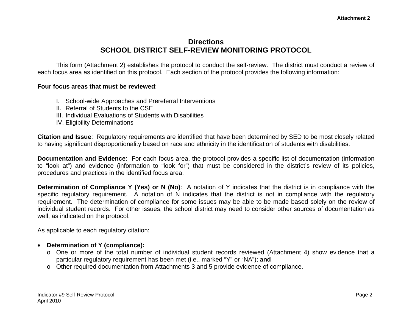## **Directions SCHOOL DISTRICT SELF-REVIEW MONITORING PROTOCOL**

 This form (Attachment 2) establishes the protocol to conduct the self-review. The district must conduct a review of each focus area as identified on this protocol. Each section of the protocol provides the following information:

#### **Four focus areas that must be reviewed**:

- I. School-wide Approaches and Prereferral Interventions
- II. Referral of Students to the CSE
- III. Individual Evaluations of Students with Disabilities
- IV. Eligibility Determinations

**Citation and Issue**: Regulatory requirements are identified that have been determined by SED to be most closely related to having significant disproportionality based on race and ethnicity in the identification of students with disabilities.

**Documentation and Evidence**: For each focus area, the protocol provides a specific list of documentation (information to "look at") and evidence (information to "look for") that must be considered in the district's review of its policies, procedures and practices in the identified focus area.

**Determination of Compliance Y (Yes) or N (No)**: A notation of Y indicates that the district is in compliance with the specific regulatory requirement. A notation of N indicates that the district is not in compliance with the regulatory requirement. The determination of compliance for some issues may be able to be made based solely on the review of individual student records. For other issues, the school district may need to consider other sources of documentation as well, as indicated on the protocol.

As applicable to each regulatory citation:

#### • **Determination of Y (compliance):**

- <sup>o</sup> One or more of the total number of individual student records reviewed (Attachment 4) show evidence that a particular regulatory requirement has been met (i.e., marked "Y" or "NA"); **and**
- <sup>o</sup> Other required documentation from Attachments 3 and 5 provide evidence of compliance.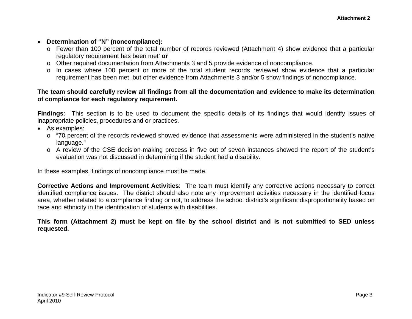#### • **Determination of "N" (noncompliance):**

- <sup>o</sup> Fewer than 100 percent of the total number of records reviewed (Attachment 4) show evidence that a particular regulatory requirement has been met' **or**
- <sup>o</sup> Other required documentation from Attachments 3 and 5 provide evidence of noncompliance.
- <sup>o</sup> In cases where 100 percent or more of the total student records reviewed show evidence that a particular requirement has been met, but other evidence from Attachments 3 and/or 5 show findings of noncompliance.

#### **The team should carefully review all findings from all the documentation and evidence to make its determination of compliance for each regulatory requirement.**

**Findings**: This section is to be used to document the specific details of its findings that would identify issues of inappropriate policies, procedures and or practices.

- As examples:
	- <sup>o</sup> "70 percent of the records reviewed showed evidence that assessments were administered in the student's native language."
	- <sup>o</sup> A review of the CSE decision-making process in five out of seven instances showed the report of the student's evaluation was not discussed in determining if the student had a disability.

In these examples, findings of noncompliance must be made.

**Corrective Actions and Improvement Activities**: The team must identify any corrective actions necessary to correct identified compliance issues. The district should also note any improvement activities necessary in the identified focus area, whether related to a compliance finding or not, to address the school district's significant disproportionality based on race and ethnicity in the identification of students with disabilities.

**This form (Attachment 2) must be kept on file by the school district and is not submitted to SED unless requested.**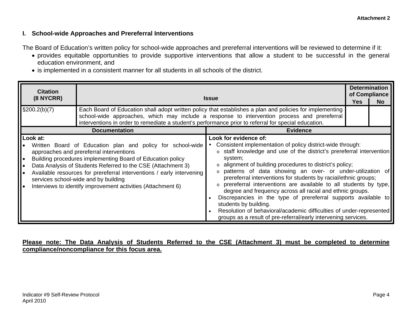#### **I. School-wide Approaches and Prereferral Interventions**

The Board of Education's written policy for school-wide approaches and prereferral interventions will be reviewed to determine if it:

- provides equitable opportunities to provide supportive interventions that allow a student to be successful in the general education environment, and
- is implemented in a consistent manner for all students in all schools of the district.

| <b>Citation</b><br>$(8$ NYCRR) | <b>Determination</b><br>of Compliance<br><b>Issue</b>                                                                                                                                                                                                                                                                                                                                                                 |                                                                                                                                                                                                                                                                                                                                                                                                                                                                                                                                                                                                                                                                                                                                                             |  |  |  |  |  |
|--------------------------------|-----------------------------------------------------------------------------------------------------------------------------------------------------------------------------------------------------------------------------------------------------------------------------------------------------------------------------------------------------------------------------------------------------------------------|-------------------------------------------------------------------------------------------------------------------------------------------------------------------------------------------------------------------------------------------------------------------------------------------------------------------------------------------------------------------------------------------------------------------------------------------------------------------------------------------------------------------------------------------------------------------------------------------------------------------------------------------------------------------------------------------------------------------------------------------------------------|--|--|--|--|--|
| $\S200.2(b)(7)$                | interventions in order to remediate a student's performance prior to referral for special education.                                                                                                                                                                                                                                                                                                                  | Each Board of Education shall adopt written policy that establishes a plan and policies for implementing<br>school-wide approaches, which may include a response to intervention process and prereferral                                                                                                                                                                                                                                                                                                                                                                                                                                                                                                                                                    |  |  |  |  |  |
|                                | <b>Documentation</b>                                                                                                                                                                                                                                                                                                                                                                                                  | <b>Evidence</b>                                                                                                                                                                                                                                                                                                                                                                                                                                                                                                                                                                                                                                                                                                                                             |  |  |  |  |  |
| Look at:                       | Written Board of Education plan and policy for school-wide<br>approaches and prereferral interventions<br>Building procedures implementing Board of Education policy<br>Data Analysis of Students Referred to the CSE (Attachment 3)<br>Available resources for prereferral interventions / early intervening<br>services school-wide and by building<br>Interviews to identify improvement activities (Attachment 6) | <b>Look for evidence of:</b><br>Consistent implementation of policy district-wide through:<br>o staff knowledge and use of the district's prereferral intervention<br>system;<br>o alignment of building procedures to district's policy;<br>o patterns of data showing an over- or under-utilization of<br>prereferral interventions for students by racial/ethnic groups;<br>prereferral interventions are available to all students by type,<br>$\circ$<br>degree and frequency across all racial and ethnic groups.<br>Discrepancies in the type of prereferral supports available to<br>students by building.<br>Resolution of behavioral/academic difficulties of under-represented<br>groups as a result of pre-referral/early intervening services. |  |  |  |  |  |

**Please note: The Data Analysis of Students Referred to the CSE (Attachment 3) must be completed to determine compliance/noncompliance for this focus area.**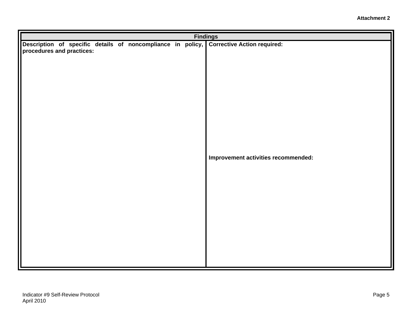|                           |  |  |  | <b>Findings</b>                                                                         |
|---------------------------|--|--|--|-----------------------------------------------------------------------------------------|
| procedures and practices: |  |  |  | Description of specific details of noncompliance in policy, Corrective Action required: |
|                           |  |  |  | Improvement activities recommended:                                                     |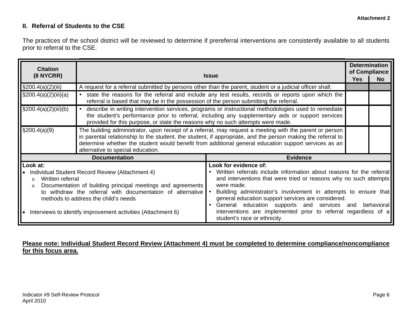#### **II. Referral of Students to the CSE**

The practices of the school district will be reviewed to determine if prereferral interventions are consistently available to all students prior to referral to the CSE.

| <b>Citation</b><br>$(8$ NYCRR)                      | of Compliance<br><b>Issue</b>                                                                                                                                                                                                                                                                                                  |                                                                                                                                                                                                                                                                                                                                                                                                                                                         |     |            |  |  |  |
|-----------------------------------------------------|--------------------------------------------------------------------------------------------------------------------------------------------------------------------------------------------------------------------------------------------------------------------------------------------------------------------------------|---------------------------------------------------------------------------------------------------------------------------------------------------------------------------------------------------------------------------------------------------------------------------------------------------------------------------------------------------------------------------------------------------------------------------------------------------------|-----|------------|--|--|--|
|                                                     |                                                                                                                                                                                                                                                                                                                                |                                                                                                                                                                                                                                                                                                                                                                                                                                                         |     |            |  |  |  |
| $\S200.4(a)(2)(iii)$                                | A request for a referral submitted by persons other than the parent, student or a judicial officer shall:                                                                                                                                                                                                                      |                                                                                                                                                                                                                                                                                                                                                                                                                                                         |     |            |  |  |  |
| $\S200.4(a)(2)(iii)(a)$                             | referral is based that may be in the possession of the person submitting the referral.                                                                                                                                                                                                                                         | state the reasons for the referral and include any test results, records or reports upon which the                                                                                                                                                                                                                                                                                                                                                      |     |            |  |  |  |
| $\S200.4(a)(2)(iii)(b)$                             | describe in writing intervention services, programs or instructional methodologies used to remediate<br>the student's performance prior to referral, including any supplementary aids or support services<br>provided for this purpose, or state the reasons why no such attempts were made.                                   |                                                                                                                                                                                                                                                                                                                                                                                                                                                         |     |            |  |  |  |
| \$200.4(a)(9)                                       | The building administrator, upon receipt of a referral, may request a meeting with the parent or person<br>in parental relationship to the student, the student, if appropriate, and the person making the referral to<br>determine whether the student would benefit from additional general education support services as an |                                                                                                                                                                                                                                                                                                                                                                                                                                                         |     |            |  |  |  |
|                                                     | <b>Documentation</b>                                                                                                                                                                                                                                                                                                           | <b>Evidence</b>                                                                                                                                                                                                                                                                                                                                                                                                                                         |     |            |  |  |  |
| Look at:<br>Written referral<br>$\Omega$<br>$\circ$ | Individual Student Record Review (Attachment 4)<br>Documentation of building principal meetings and agreements<br>to withdraw the referral with documentation of alternative<br>methods to address the child's needs<br>Interviews to identify improvement activities (Attachment 6)                                           | Look for evidence of:<br>Written referrals include information about reasons for the referral<br>and interventions that were tried or reasons why no such attempts<br>were made.<br>Building administrator's involvement in attempts to ensure that<br>general education support services are considered.<br>General education supports and services<br>interventions are implemented prior to referral regardless of a<br>student's race or ethnicity. | and | behavioral |  |  |  |

#### **Please note: Individual Student Record Review (Attachment 4) must be completed to determine compliance/noncompliance for this focus area.**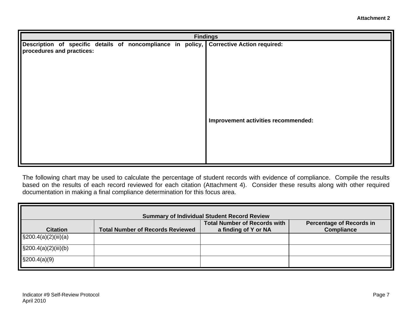|                           |  |  |  | <b>Findings</b>                                                                         |
|---------------------------|--|--|--|-----------------------------------------------------------------------------------------|
| procedures and practices: |  |  |  | Description of specific details of noncompliance in policy, Corrective Action required: |
|                           |  |  |  | Improvement activities recommended:                                                     |

The following chart may be used to calculate the percentage of student records with evidence of compliance. Compile the results based on the results of each record reviewed for each citation (Attachment 4). Consider these results along with other required documentation in making a final compliance determination for this focus area.

| <b>Summary of Individual Student Record Review</b> |                                         |                                                             |                                                      |  |  |  |  |
|----------------------------------------------------|-----------------------------------------|-------------------------------------------------------------|------------------------------------------------------|--|--|--|--|
| <b>Citation</b>                                    | <b>Total Number of Records Reviewed</b> | <b>Total Number of Records with</b><br>a finding of Y or NA | <b>Percentage of Records in</b><br><b>Compliance</b> |  |  |  |  |
| $\sqrt{\frac{200.4(a)}{2(iii)}}$ (a)               |                                         |                                                             |                                                      |  |  |  |  |
| $\frac{1}{2}$ §200.4(a)(2)(iii)(b)                 |                                         |                                                             |                                                      |  |  |  |  |
| $\frac{1}{2}200.4(a)(9)$                           |                                         |                                                             |                                                      |  |  |  |  |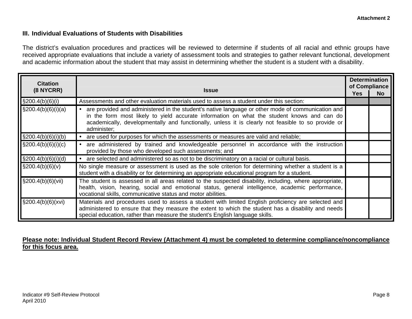#### **III. Individual Evaluations of Students with Disabilities**

The district's evaluation procedures and practices will be reviewed to determine if students of all racial and ethnic groups have received appropriate evaluations that include a variety of assessment tools and strategies to gather relevant functional, development and academic information about the student that may assist in determining whether the student is a student with a disability.

| <b>Citation</b><br>$(8$ NYCRR)             | <b>Issue</b>                                                                                                                                                                                                                                                                                                         |  |  |  |  |  |  |
|--------------------------------------------|----------------------------------------------------------------------------------------------------------------------------------------------------------------------------------------------------------------------------------------------------------------------------------------------------------------------|--|--|--|--|--|--|
| $\frac{1}{2}$ \$200.4(b)(6)(i)             | Assessments and other evaluation materials used to assess a student under this section:                                                                                                                                                                                                                              |  |  |  |  |  |  |
| $\sqrt{\frac{200.4(b)(6)(i)}{a}}$          | are provided and administered in the student's native language or other mode of communication and<br>in the form most likely to yield accurate information on what the student knows and can do<br>academically, developmentally and functionally, unless it is clearly not feasible to so provide or<br>administer; |  |  |  |  |  |  |
| $\frac{200.4(b)(6)(i)(b)}{200.4(b)(6)(i)}$ | are used for purposes for which the assessments or measures are valid and reliable;                                                                                                                                                                                                                                  |  |  |  |  |  |  |
| $\frac{1}{2}$ \$200.4(b)(6)(i)(c)          | are administered by trained and knowledgeable personnel in accordance with the instruction<br>provided by those who developed such assessments; and                                                                                                                                                                  |  |  |  |  |  |  |
| $\frac{200.4(b)(6)(i)(d)}{}$               | are selected and administered so as not to be discriminatory on a racial or cultural basis.                                                                                                                                                                                                                          |  |  |  |  |  |  |
| $\frac{1}{2}$ \$200.4(b)(6)(v)             | No single measure or assessment is used as the sole criterion for determining whether a student is a<br>student with a disability or for determining an appropriate educational program for a student.                                                                                                               |  |  |  |  |  |  |
| $\sqrt{\frac{200.4(b)}{6}}$ (vii)          | The student is assessed in all areas related to the suspected disability, including, where appropriate,<br>health, vision, hearing, social and emotional status, general intelligence, academic performance,<br>vocational skills, communicative status and motor abilities.                                         |  |  |  |  |  |  |
| $\frac{1}{2}$ \$200.4(b)(6)(xvi)           | Materials and procedures used to assess a student with limited English proficiency are selected and<br>administered to ensure that they measure the extent to which the student has a disability and needs<br>special education, rather than measure the student's English language skills.                          |  |  |  |  |  |  |

#### **Please note: Individual Student Record Review (Attachment 4) must be completed to determine compliance/noncompliance for this focus area.**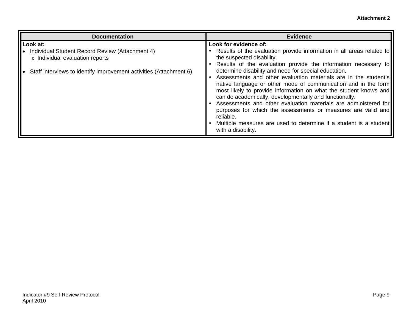| <b>Documentation</b>                                                                                                                                                       | <b>Evidence</b>                                                                                                                                                                                                                                                                                                                                                                                                                                                                                                                                                                                                                                                                                                                                                       |
|----------------------------------------------------------------------------------------------------------------------------------------------------------------------------|-----------------------------------------------------------------------------------------------------------------------------------------------------------------------------------------------------------------------------------------------------------------------------------------------------------------------------------------------------------------------------------------------------------------------------------------------------------------------------------------------------------------------------------------------------------------------------------------------------------------------------------------------------------------------------------------------------------------------------------------------------------------------|
| Look at:<br>Individual Student Record Review (Attachment 4)<br>$\circ$ Individual evaluation reports<br>Staff interviews to identify improvement activities (Attachment 6) | Look for evidence of:<br>Results of the evaluation provide information in all areas related to<br>the suspected disability.<br>Results of the evaluation provide the information necessary to<br>determine disability and need for special education.<br>Assessments and other evaluation materials are in the student's<br>native language or other mode of communication and in the form<br>most likely to provide information on what the student knows and<br>can do academically, developmentally and functionally.<br>• Assessments and other evaluation materials are administered for<br>purposes for which the assessments or measures are valid and<br>reliable.<br>Multiple measures are used to determine if a student is a student<br>with a disability. |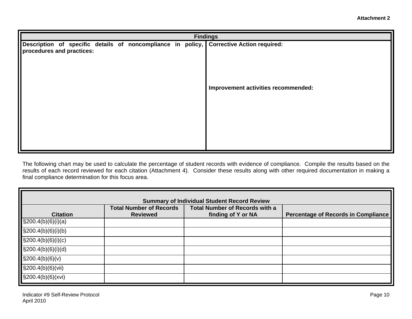|                           | <b>Findings</b> |  |  |  |  |  |  |                                                                                         |
|---------------------------|-----------------|--|--|--|--|--|--|-----------------------------------------------------------------------------------------|
|                           |                 |  |  |  |  |  |  | Description of specific details of noncompliance in policy, Corrective Action required: |
| procedures and practices: |                 |  |  |  |  |  |  |                                                                                         |
|                           |                 |  |  |  |  |  |  |                                                                                         |
|                           |                 |  |  |  |  |  |  |                                                                                         |
|                           |                 |  |  |  |  |  |  |                                                                                         |
|                           |                 |  |  |  |  |  |  | Improvement activities recommended:                                                     |
|                           |                 |  |  |  |  |  |  |                                                                                         |
|                           |                 |  |  |  |  |  |  |                                                                                         |
|                           |                 |  |  |  |  |  |  |                                                                                         |
|                           |                 |  |  |  |  |  |  |                                                                                         |
|                           |                 |  |  |  |  |  |  |                                                                                         |
|                           |                 |  |  |  |  |  |  |                                                                                         |
|                           |                 |  |  |  |  |  |  |                                                                                         |

The following chart may be used to calculate the percentage of student records with evidence of compliance. Compile the results based on the results of each record reviewed for each citation (Attachment 4). Consider these results along with other required documentation in making a final compliance determination for this focus area.

| <b>Summary of Individual Student Record Review</b> |                                                   |                                                             |                                     |  |  |  |  |  |
|----------------------------------------------------|---------------------------------------------------|-------------------------------------------------------------|-------------------------------------|--|--|--|--|--|
| <b>Citation</b>                                    | <b>Total Number of Records</b><br><b>Reviewed</b> | <b>Total Number of Records with a</b><br>finding of Y or NA | Percentage of Records in Compliance |  |  |  |  |  |
| $\text{\$200.4(b)(6)(i)(a)}$                       |                                                   |                                                             |                                     |  |  |  |  |  |
| $\S200.4(b)(6)(i)(b)$                              |                                                   |                                                             |                                     |  |  |  |  |  |
| $\S200.4(b)(6)(i)(c)$                              |                                                   |                                                             |                                     |  |  |  |  |  |
| $\S200.4(b)(6)(i)(d)$                              |                                                   |                                                             |                                     |  |  |  |  |  |
| $\S200.4(b)(6)(v)$                                 |                                                   |                                                             |                                     |  |  |  |  |  |
| $\S200.4(b)(6)(vii)$                               |                                                   |                                                             |                                     |  |  |  |  |  |
| $\S200.4(b)(6)(xvi)$                               |                                                   |                                                             |                                     |  |  |  |  |  |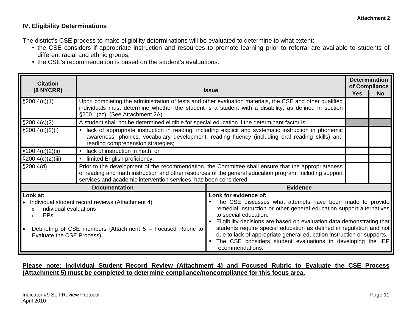#### **IV. Eligibility Determinations**

The district's CSE process to make eligibility determinations will be evaluated to determine to what extent:

- the CSE considers if appropriate instruction and resources to promote learning prior to referral are available to students of different racial and ethnic groups;
- the CSE's recommendation is based on the student's evaluations.

| <b>Citation</b>                                                                                                                                                                                                                                                                                   | <b>Determination</b><br>of Compliance<br><b>Issue</b>                                                                                                                                                                                                      |                                                                                                                                                                                                                                                                                                                                                                                                                                                                                                 |            |           |  |  |
|---------------------------------------------------------------------------------------------------------------------------------------------------------------------------------------------------------------------------------------------------------------------------------------------------|------------------------------------------------------------------------------------------------------------------------------------------------------------------------------------------------------------------------------------------------------------|-------------------------------------------------------------------------------------------------------------------------------------------------------------------------------------------------------------------------------------------------------------------------------------------------------------------------------------------------------------------------------------------------------------------------------------------------------------------------------------------------|------------|-----------|--|--|
| $(8$ NYCRR)                                                                                                                                                                                                                                                                                       |                                                                                                                                                                                                                                                            |                                                                                                                                                                                                                                                                                                                                                                                                                                                                                                 | <b>Yes</b> | <b>No</b> |  |  |
| $\S200.4(c)(1)$                                                                                                                                                                                                                                                                                   | §200.1(zz). (See Attachment 2A)                                                                                                                                                                                                                            | Upon completing the administration of tests and other evaluation materials, the CSE and other qualified<br>individuals must determine whether the student is a student with a disability, as defined in section                                                                                                                                                                                                                                                                                 |            |           |  |  |
| \$200.4(c)(2)                                                                                                                                                                                                                                                                                     | A student shall not be determined eligible for special education if the determinant factor is:                                                                                                                                                             |                                                                                                                                                                                                                                                                                                                                                                                                                                                                                                 |            |           |  |  |
| $\S200.4(c)(2)(i)$                                                                                                                                                                                                                                                                                | lack of appropriate instruction in reading, including explicit and systematic instruction in phonemic<br>$\bullet$<br>awareness, phonics, vocabulary development, reading fluency (including oral reading skills) and<br>reading comprehension strategies; |                                                                                                                                                                                                                                                                                                                                                                                                                                                                                                 |            |           |  |  |
| $\S200.4(c)(2)(ii)$                                                                                                                                                                                                                                                                               | lack of instruction in math; or<br>$\bullet$                                                                                                                                                                                                               |                                                                                                                                                                                                                                                                                                                                                                                                                                                                                                 |            |           |  |  |
| $\S200.4(c)(2)(iii)$                                                                                                                                                                                                                                                                              | limited English proficiency.<br>$\bullet$                                                                                                                                                                                                                  |                                                                                                                                                                                                                                                                                                                                                                                                                                                                                                 |            |           |  |  |
| \$200.4(d)<br>Prior to the development of the recommendation, the Committee shall ensure that the appropriateness<br>of reading and math instruction and other resources of the general education program, including support<br>services and academic intervention services, has been considered. |                                                                                                                                                                                                                                                            |                                                                                                                                                                                                                                                                                                                                                                                                                                                                                                 |            |           |  |  |
|                                                                                                                                                                                                                                                                                                   | <b>Documentation</b>                                                                                                                                                                                                                                       | <b>Evidence</b>                                                                                                                                                                                                                                                                                                                                                                                                                                                                                 |            |           |  |  |
| Look at:<br>$\bullet$<br>Individual evaluations<br>$\Omega$<br><b>IEPS</b><br>$\Omega$<br>$\bullet$<br>Evaluate the CSE Process)                                                                                                                                                                  | Individual student record reviews (Attachment 4)<br>Debriefing of CSE members (Attachment 5 - Focused Rubric to                                                                                                                                            | Look for evidence of:<br>The CSE discusses what attempts have been made to provide<br>remedial instruction or other general education support alternatives<br>to special education.<br>Eligibility decisions are based on evaluation data demonstrating that<br>students require special education as defined in regulation and not<br>due to lack of appropriate general education instruction or supports.<br>The CSE considers student evaluations in developing the IEP<br>recommendations. |            |           |  |  |

#### **Please note: Individual Student Record Review (Attachment 4) and Focused Rubric to Evaluate the CSE Process (Attachment 5) must be completed to determine compliance/noncompliance for this focus area.**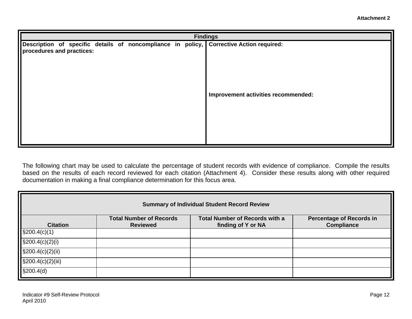| <b>Findings</b>                                                                                                      |                                     |
|----------------------------------------------------------------------------------------------------------------------|-------------------------------------|
| Description of specific details of noncompliance in policy, Corrective Action required:<br>procedures and practices: | Improvement activities recommended: |

The following chart may be used to calculate the percentage of student records with evidence of compliance. Compile the results based on the results of each record reviewed for each citation (Attachment 4). Consider these results along with other required documentation in making a final compliance determination for this focus area.

| <b>Summary of Individual Student Record Review</b>                                                                                                                                          |  |  |  |  |  |  |  |
|---------------------------------------------------------------------------------------------------------------------------------------------------------------------------------------------|--|--|--|--|--|--|--|
| <b>Total Number of Records with a</b><br><b>Total Number of Records</b><br><b>Percentage of Records in</b><br><b>Compliance</b><br><b>Citation</b><br><b>Reviewed</b><br>finding of Y or NA |  |  |  |  |  |  |  |
| $\S200.4(c)(1)$                                                                                                                                                                             |  |  |  |  |  |  |  |
| $\text{\$}200.4(c)(2)(i)$                                                                                                                                                                   |  |  |  |  |  |  |  |
| $\S200.4(c)(2)(ii)$                                                                                                                                                                         |  |  |  |  |  |  |  |
| $\S 200.4(c)(2)(iii)$                                                                                                                                                                       |  |  |  |  |  |  |  |
| \$200.4(d)                                                                                                                                                                                  |  |  |  |  |  |  |  |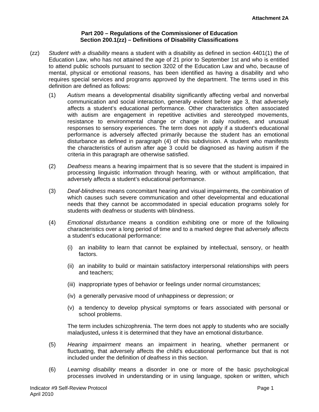#### **Part 200 – Regulations of the Commissioner of Education Section 200.1(zz) – Definitions of Disability Classifications**

- (zz) *Student with a disability* means a student with a disability as defined in section 4401(1) the of Education Law, who has not attained the age of 21 prior to September 1st and who is entitled to attend public schools pursuant to section 3202 of the Education Law and who, because of mental, physical or emotional reasons, has been identified as having a disability and who requires special services and programs approved by the department. The terms used in this definition are defined as follows:
	- (1) *Autism* means a developmental disability significantly affecting verbal and nonverbal communication and social interaction, generally evident before age 3, that adversely affects a student's educational performance. Other characteristics often associated with autism are engagement in repetitive activities and stereotyped movements, resistance to environmental change or change in daily routines, and unusual responses to sensory experiences. The term does not apply if a student's educational performance is adversely affected primarily because the student has an emotional disturbance as defined in paragraph (4) of this subdivision. A student who manifests the characteristics of autism after age 3 could be diagnosed as having autism if the criteria in this paragraph are otherwise satisfied.
	- (2) *Deafness* means a hearing impairment that is so severe that the student is impaired in processing linguistic information through hearing, with or without amplification, that adversely affects a student's educational performance.
	- (3) *Deaf-blindness* means concomitant hearing and visual impairments, the combination of which causes such severe communication and other developmental and educational needs that they cannot be accommodated in special education programs solely for students with deafness or students with blindness.
	- (4) *Emotional disturbance* means a condition exhibiting one or more of the following characteristics over a long period of time and to a marked degree that adversely affects a student's educational performance:
		- (i) an inability to learn that cannot be explained by intellectual, sensory, or health factors.
		- (ii) an inability to build or maintain satisfactory interpersonal relationships with peers and teachers;
		- (iii) inappropriate types of behavior or feelings under normal circumstances;
		- (iv) a generally pervasive mood of unhappiness or depression; or
		- (v) a tendency to develop physical symptoms or fears associated with personal or school problems.

 The term includes schizophrenia. The term does not apply to students who are socially maladjusted**,** unless it is determined that they have an emotional disturbance.

- (5) *Hearing impairment* means an impairment in hearing, whether permanent or fluctuating, that adversely affects the child's educational performance but that is not included under the definition of *deafness* in this section.
- (6) *Learning disability* means a disorder in one or more of the basic psychological processes involved in understanding or in using language, spoken or written, which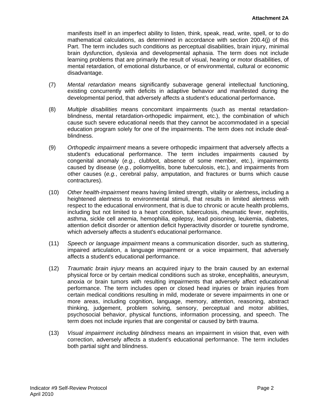manifests itself in an imperfect ability to listen, think, speak, read, write, spell, or to do mathematical calculations, as determined in accordance with section 200.4(j) of this Part. The term includes such conditions as perceptual disabilities, brain injury, minimal brain dysfunction, dyslexia and developmental aphasia. The term does not include learning problems that are primarily the result of visual, hearing or motor disabilities, of mental retardation, of emotional disturbance, or of environmental, cultural or economic disadvantage.

- (7) *Mental retardation* means significantly subaverage general intellectual functioning, existing concurrently with deficits in adaptive behavior and manifested during the developmental period, that adversely affects a student's educational performance**.**
- (8) *Multiple disabilities* means concomitant impairments (such as mental retardationblindness, mental retardation-orthopedic impairment, etc.), the combination of which cause such severe educational needs that they cannot be accommodated in a special education program solely for one of the impairments. The term does not include deafblindness.
- (9) *Orthopedic impairment* means a severe orthopedic impairment that adversely affects a student's educational performance. The term includes impairments caused by congenital anomaly (*e.g.*, clubfoot, absence of some member, etc.), impairments caused by disease (*e.g.*, poliomyelitis, bone tuberculosis, etc.), and impairments from other causes (*e.g.*, cerebral palsy, amputation, and fractures or burns which cause contractures).
- (10) *Other health-impairment* means having limited strength, vitality or alertness**,** including a heightened alertness to environmental stimuli, that results in limited alertness with respect to the educational environment, that is due to chronic or acute health problems, including but not limited to a heart condition, tuberculosis, rheumatic fever, nephritis, asthma, sickle cell anemia, hemophilia, epilepsy, lead poisoning, leukemia, diabetes, attention deficit disorder or attention deficit hyperactivity disorder or tourette syndrome, which adversely affects a student's educational performance.
- (11) *Speech or language impairment* means a communication disorder, such as stuttering, impaired articulation, a language impairment or a voice impairment, that adversely affects a student's educational performance.
- (12) *Traumatic brain injury* means an acquired injury to the brain caused by an external physical force or by certain medical conditions such as stroke, encephalitis, aneurysm, anoxia or brain tumors with resulting impairments that adversely affect educational performance. The term includes open or closed head injuries or brain injuries from certain medical conditions resulting in mild, moderate or severe impairments in one or more areas, including cognition, language, memory, attention, reasoning, abstract thinking, judgement, problem solving, sensory, perceptual and motor abilities, psychosocial behavior, physical functions, information processing, and speech. The term does not include injuries that are congenital or caused by birth trauma.
- (13) *Visual impairment including blindness* means an impairment in vision that, even with correction, adversely affects a student's educational performance. The term includes both partial sight and blindness.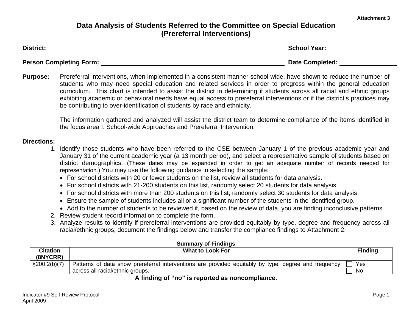## **Data Analysis of Students Referred to the Committee on Special Education (Prereferral Interventions)**

| <b>District:</b>               | <b>School Year:</b>    |
|--------------------------------|------------------------|
|                                |                        |
| <b>Person Completing Form:</b> | <b>Date Completed:</b> |

**Purpose:** Prereferral interventions, when implemented in a consistent manner school-wide, have shown to reduce the number of students who may need special education and related services in order to progress within the general education curriculum. This chart is intended to assist the district in determining if students across all racial and ethnic groups exhibiting academic or behavioral needs have equal access to prereferral interventions or if the district's practices may be contributing to over-identification of students by race and ethnicity.

> The information gathered and analyzed will assist the district team to determine compliance of the items identified in the focus area I. School-wide Approaches and Prereferral Intervention.

#### **Directions:**

- 1. Identify those students who have been referred to the CSE between January 1 of the previous academic year and January 31 of the current academic year (a 13 month period), and select a representative sample of students based on district demographics. (These dates may be expanded in order to get an adequate number of records needed for representation.) You may use the following guidance in selecting the sample:
	- For school districts with 20 or fewer students on the list, review all students for data analysis.
	- For school districts with 21-200 students on this list, randomly select 20 students for data analysis.
	- For school districts with more than 200 students on this list, randomly select 30 students for data analysis.
	- Ensure the sample of students includes all or a significant number of the students in the identified group.
	- Add to the number of students to be reviewed if, based on the review of data, you are finding inconclusive patterns.
- 2. Review student record information to complete the form.
- 3. Analyze results to identify if prereferral interventions are provided equitably by type, degree and frequency across all racial/ethnic groups, document the findings below and transfer the compliance findings to Attachment 2.

|                                                  | Summary of Findings                                                                                  |                |  |  |  |  |
|--------------------------------------------------|------------------------------------------------------------------------------------------------------|----------------|--|--|--|--|
| <b>Citation</b>                                  | What to Look For                                                                                     | <b>Finding</b> |  |  |  |  |
| (8NYCRR)                                         |                                                                                                      |                |  |  |  |  |
| $\S200.2(b)(7)$                                  | Patterns of data show prereferral interventions are provided equitably by type, degree and frequency | Yes            |  |  |  |  |
|                                                  | across all racial/ethnic groups.                                                                     | No.            |  |  |  |  |
| A finaling of "no" in reported as personalizance |                                                                                                      |                |  |  |  |  |

**Summary of Findings** 

#### **A finding of "no" is reported as noncompliance.**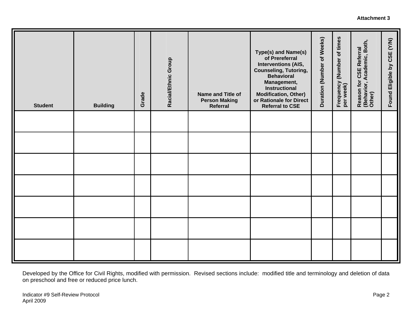#### **Attachment 3**

| <b>Student</b> | <b>Building</b> | Grade | Racial/Ethnic Group | Name and Title of<br><b>Person Making</b><br><b>Referral</b> | Type(s) and Name(s)<br>of Prereferral<br><b>Interventions (AIS,</b><br><b>Counseling, Tutoring,</b><br><b>Behavioral</b><br>Management,<br>Instructional<br><b>Modification, Other)</b><br>or Rationale for Direct<br><b>Referral to CSE</b> | Duration (Number of Weeks) | Frequency (Number of times<br>per week) | Academic, Both,<br>Reason for CSE Referral<br>(Behavior, Academic, Bo<br>Other) | Found Eligible by CSE (Y/N) |
|----------------|-----------------|-------|---------------------|--------------------------------------------------------------|----------------------------------------------------------------------------------------------------------------------------------------------------------------------------------------------------------------------------------------------|----------------------------|-----------------------------------------|---------------------------------------------------------------------------------|-----------------------------|
|                |                 |       |                     |                                                              |                                                                                                                                                                                                                                              |                            |                                         |                                                                                 |                             |
|                |                 |       |                     |                                                              |                                                                                                                                                                                                                                              |                            |                                         |                                                                                 |                             |
|                |                 |       |                     |                                                              |                                                                                                                                                                                                                                              |                            |                                         |                                                                                 |                             |
|                |                 |       |                     |                                                              |                                                                                                                                                                                                                                              |                            |                                         |                                                                                 |                             |
|                |                 |       |                     |                                                              |                                                                                                                                                                                                                                              |                            |                                         |                                                                                 |                             |
|                |                 |       |                     |                                                              |                                                                                                                                                                                                                                              |                            |                                         |                                                                                 |                             |
|                |                 |       |                     |                                                              |                                                                                                                                                                                                                                              |                            |                                         |                                                                                 |                             |

Developed by the Office for Civil Rights, modified with permission. Revised sections include: modified title and terminology and deletion of data on preschool and free or reduced price lunch.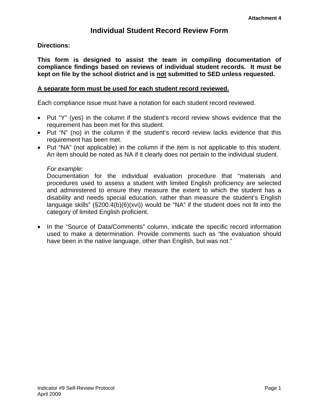## **Individual Student Record Review Form**

#### **Directions:**

**This form is designed to assist the team in compiling documentation of compliance findings based on reviews of individual student records. It must be kept on file by the school district and is not submitted to SED unless requested.** 

#### **A separate form must be used for each student record reviewed.**

Each compliance issue must have a notation for each student record reviewed.

- Put "Y" (yes) in the column if the student's record review shows evidence that the requirement has been met for this student.
- Put "N" (no) in the column if the student's record review lacks evidence that this requirement has been met.
- Put "NA" (not applicable) in the column if the item is not applicable to this student. An item should be noted as NA if it clearly does not pertain to the individual student.

#### *For example:*

 Documentation for the individual evaluation procedure that "materials and procedures used to assess a student with limited English proficiency are selected and administered to ensure they measure the extent to which the student has a disability and needs special education, rather than measure the student's English language skills" (§200.4(b)(6)(xvi)) would be "NA" if the student does not fit into the category of limited English proficient.

• In the "Source of Data/Comments" column, indicate the specific record information used to make a determination. Provide comments such as "the evaluation should have been in the native language, other than English, but was not."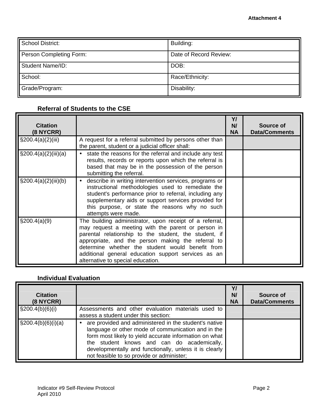| School District:        | Building:              |
|-------------------------|------------------------|
| Person Completing Form: | Date of Record Review: |
| <b>Student Name/ID:</b> | DOB:                   |
| School:                 | Race/Ethnicity:        |
| Grade/Program:          | Disability:            |

#### **Referral of Students to the CSE**

| <b>Citation</b><br>$(8$ NYCRR) |                                                                                                                                                                                                                                                                                                                                                                              | Y/<br>N/<br><b>NA</b> | Source of<br><b>Data/Comments</b> |
|--------------------------------|------------------------------------------------------------------------------------------------------------------------------------------------------------------------------------------------------------------------------------------------------------------------------------------------------------------------------------------------------------------------------|-----------------------|-----------------------------------|
| $\S200.4(a)(2)(iii)$           | A request for a referral submitted by persons other than<br>the parent, student or a judicial officer shall:                                                                                                                                                                                                                                                                 |                       |                                   |
| $\S200.4(a)(2)(iii)(a)$        | state the reasons for the referral and include any test<br>results, records or reports upon which the referral is<br>based that may be in the possession of the person<br>submitting the referral.                                                                                                                                                                           |                       |                                   |
| $\S200.4(a)(2)(iii)(b)$        | describe in writing intervention services, programs or<br>instructional methodologies used to remediate the<br>student's performance prior to referral, including any<br>supplementary aids or support services provided for<br>this purpose, or state the reasons why no such<br>attempts were made.                                                                        |                       |                                   |
| \$200.4(a)(9)                  | The building administrator, upon receipt of a referral,<br>may request a meeting with the parent or person in<br>parental relationship to the student, the student, if<br>appropriate, and the person making the referral to<br>determine whether the student would benefit from<br>additional general education support services as an<br>alternative to special education. |                       |                                   |

### **Individual Evaluation**

| <b>Citation</b><br>$(8$ NYCRR) |                                                                                                                                                                                                                                                                                                                            | Y<br>N/<br><b>NA</b> | Source of<br><b>Data/Comments</b> |
|--------------------------------|----------------------------------------------------------------------------------------------------------------------------------------------------------------------------------------------------------------------------------------------------------------------------------------------------------------------------|----------------------|-----------------------------------|
| $\S200.4(b)(6)(i)$             | Assessments and other evaluation materials used to<br>assess a student under this section:                                                                                                                                                                                                                                 |                      |                                   |
| $\S200.4(b)(6)(i)(a)$          | are provided and administered in the student's native<br>language or other mode of communication and in the<br>form most likely to yield accurate information on what<br>the student knows and can do academically,<br>developmentally and functionally, unless it is clearly<br>not feasible to so provide or administer; |                      |                                   |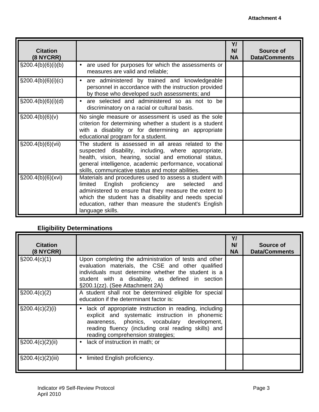| <b>Citation</b><br>(8 NYCRR) |                                                                                                                                                                                                                                                                                                               | Y/<br>N/<br><b>NA</b> | Source of<br><b>Data/Comments</b> |
|------------------------------|---------------------------------------------------------------------------------------------------------------------------------------------------------------------------------------------------------------------------------------------------------------------------------------------------------------|-----------------------|-----------------------------------|
| $\S200.4(b)(6)(i)(b)$        | are used for purposes for which the assessments or<br>measures are valid and reliable;                                                                                                                                                                                                                        |                       |                                   |
| $\S200.4(b)(6)(i)(c)$        | are administered by trained and knowledgeable<br>personnel in accordance with the instruction provided<br>by those who developed such assessments; and                                                                                                                                                        |                       |                                   |
| $\S200.4(b)(6)(i)(d)$        | are selected and administered so as not to be<br>$\bullet$<br>discriminatory on a racial or cultural basis.                                                                                                                                                                                                   |                       |                                   |
| $\S200.4(b)(6)(v)$           | No single measure or assessment is used as the sole<br>criterion for determining whether a student is a student<br>with a disability or for determining an appropriate<br>educational program for a student.                                                                                                  |                       |                                   |
| $\S200.4(b)(6)(vii)$         | The student is assessed in all areas related to the<br>suspected disability, including, where appropriate,<br>health, vision, hearing, social and emotional status,<br>general intelligence, academic performance, vocational<br>skills, communicative status and motor abilities.                            |                       |                                   |
| \$200.4(b)(6)(xvi)           | Materials and procedures used to assess a student with<br>English proficiency are<br>limited<br>selected<br>and<br>administered to ensure that they measure the extent to<br>which the student has a disability and needs special<br>education, rather than measure the student's English<br>language skills. |                       |                                   |

## **Eligibility Determinations**

| <b>Citation</b><br>$(8$ NYCRR) |                                                                                                                                                                                                                                                          | YI<br>N/<br>ΝA | Source of<br><b>Data/Comments</b> |
|--------------------------------|----------------------------------------------------------------------------------------------------------------------------------------------------------------------------------------------------------------------------------------------------------|----------------|-----------------------------------|
| $\S200.4(c)(1)$                | Upon completing the administration of tests and other<br>evaluation materials, the CSE and other qualified<br>individuals must determine whether the student is a<br>student with a disability, as defined in section<br>§200.1(zz). (See Attachment 2A) |                |                                   |
| \$200.4(c)(2)                  | A student shall not be determined eligible for special<br>education if the determinant factor is:                                                                                                                                                        |                |                                   |
| $\S200.4(c)(2)(i)$             | lack of appropriate instruction in reading, including<br>explicit and systematic instruction in phonemic<br>awareness, phonics, vocabulary development,<br>reading fluency (including oral reading skills) and<br>reading comprehension strategies;      |                |                                   |
| $\S200.4(c)(2)(ii)$            | lack of instruction in math; or                                                                                                                                                                                                                          |                |                                   |
| $\S200.4(c)(2)(iii)$           | limited English proficiency.                                                                                                                                                                                                                             |                |                                   |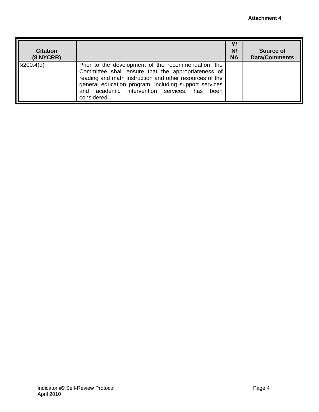| <b>Citation</b>           |                                                                                                                                                                                                                                                                                                 | N/        | Source of            |
|---------------------------|-------------------------------------------------------------------------------------------------------------------------------------------------------------------------------------------------------------------------------------------------------------------------------------------------|-----------|----------------------|
| (8 NYCRR)                 |                                                                                                                                                                                                                                                                                                 | <b>NA</b> | <b>Data/Comments</b> |
| $\frac{1}{2}$ \\$200.4(d) | Prior to the development of the recommendation, the<br>Committee shall ensure that the appropriateness of<br>reading and math instruction and other resources of the<br>general education program, including support services<br>and academic intervention services, has<br>been<br>considered. |           |                      |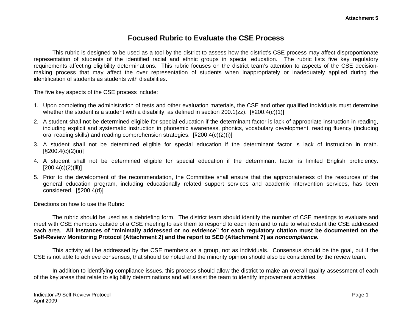## **Focused Rubric to Evaluate the CSE Process**

This rubric is designed to be used as a tool by the district to assess how the district's CSE process may affect disproportionate representation of students of the identified racial and ethnic groups in special education. The rubric lists five key regulatory requirements affecting eligibility determinations. This rubric focuses on the district team's attention to aspects of the CSE decisionmaking process that may affect the over representation of students when inappropriately or inadequately applied during the identification of students as students with disabilities.

The five key aspects of the CSE process include:

- 1. Upon completing the administration of tests and other evaluation materials, the CSE and other qualified individuals must determine whether the student is a student with a disability, as defined in section 200.1(zz).  $[\S 200.4(c)(1)]$
- 2. A student shall not be determined eligible for special education if the determinant factor is lack of appropriate instruction in reading, including explicit and systematic instruction in phonemic awareness, phonics, vocabulary development, reading fluency (including oral reading skills) and reading comprehension strategies. [§200.4(c)(2)(i)]
- 3. A student shall not be determined eligible for special education if the determinant factor is lack of instruction in math.  $[S200.4(c)(2)(ii)]$
- 4. A student shall not be determined eligible for special education if the determinant factor is limited English proficiency.  $[200.4(c)(2)(iii)]$
- 5. Prior to the development of the recommendation, the Committee shall ensure that the appropriateness of the resources of the general education program, including educationally related support services and academic intervention services, has been considered. [§200.4(d)]

#### Directions on how to use the Rubric

 The rubric should be used as a debriefing form. The district team should identify the number of CSE meetings to evaluate and meet with CSE members outside of a CSE meeting to ask them to respond to each item and to rate to what extent the CSE addressed each area. **All instances of "minimally addressed or no evidence" for each regulatory citation must be documented on the Self-Review Monitoring Protocol (Attachment 2) and the report to SED (Attachment 7) as** *noncompliance***.** 

 This activity will be addressed by the CSE members as a group, not as individuals. Consensus should be the goal, but if the CSE is not able to achieve consensus, that should be noted and the minority opinion should also be considered by the review team.

In addition to identifying compliance issues, this process should allow the district to make an overall quality assessment of each of the key areas that relate to eligibility determinations and will assist the team to identify improvement activities.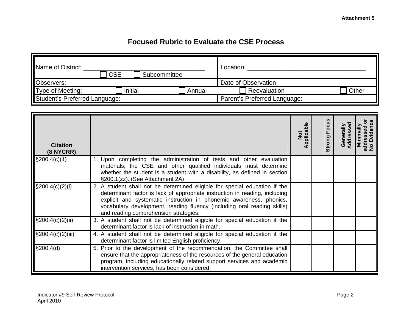## **Focused Rubric to Evaluate the CSE Process**

| Name of District:<br>Location:<br><b>CSE</b><br>Subcommittee<br>Date of Observation<br>Observers:<br><b>Initial</b><br>Reevaluation<br>Type of Meeting:<br>Annual<br>Other<br>Student's Preferred Language:<br>Parent's Preferred Language: |                                                                                                                                                                                                                                                                                                                                                      |  |                             |                     |                        |                                                                    |
|---------------------------------------------------------------------------------------------------------------------------------------------------------------------------------------------------------------------------------------------|------------------------------------------------------------------------------------------------------------------------------------------------------------------------------------------------------------------------------------------------------------------------------------------------------------------------------------------------------|--|-----------------------------|---------------------|------------------------|--------------------------------------------------------------------|
| <b>Citation</b><br>(8 NYCRR)                                                                                                                                                                                                                |                                                                                                                                                                                                                                                                                                                                                      |  | Applicable<br>$\frac{1}{2}$ | <b>Strong Focus</b> | Addressed<br>Generally | ō<br>Minimall <sub>y</sub><br>Eviden<br>addressed<br>$\frac{1}{2}$ |
| $\S200.4(c)(1)$                                                                                                                                                                                                                             | 1. Upon completing the administration of tests and other evaluation<br>materials, the CSE and other qualified individuals must determine<br>whether the student is a student with a disability, as defined in section<br>§200.1(zz). (See Attachment 2A)                                                                                             |  |                             |                     |                        |                                                                    |
| \$200.4(c)(2)(i)                                                                                                                                                                                                                            | 2. A student shall not be determined eligible for special education if the<br>determinant factor is lack of appropriate instruction in reading, including<br>explicit and systematic instruction in phonemic awareness, phonics,<br>vocabulary development, reading fluency (including oral reading skills)<br>and reading comprehension strategies. |  |                             |                     |                        |                                                                    |
| \$200.4(c)(2)(ii)                                                                                                                                                                                                                           | 3. A student shall not be determined eligible for special education if the<br>determinant factor is lack of instruction in math.                                                                                                                                                                                                                     |  |                             |                     |                        |                                                                    |
| \$200.4(c)(2)(iii)                                                                                                                                                                                                                          | 4. A student shall not be determined eligible for special education if the<br>determinant factor is limited English proficiency.                                                                                                                                                                                                                     |  |                             |                     |                        |                                                                    |
| \$200.4(d)                                                                                                                                                                                                                                  | 5. Prior to the development of the recommendation, the Committee shall<br>ensure that the appropriateness of the resources of the general education<br>program, including educationally related support services and academic<br>intervention services, has been considered.                                                                         |  |                             |                     |                        |                                                                    |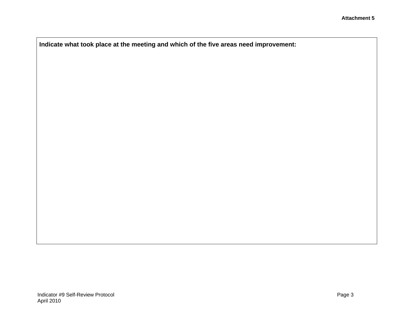**Indicate what took place at the meeting and which of the five areas need improvement:**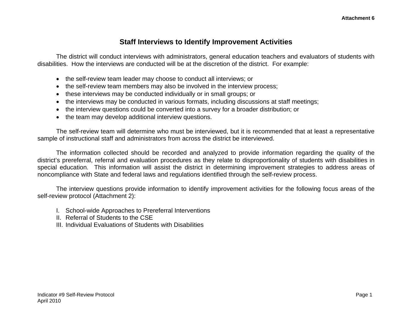## **Staff Interviews to Identify Improvement Activities**

 The district will conduct interviews with administrators, general education teachers and evaluators of students with disabilities. How the interviews are conducted will be at the discretion of the district. For example:

- the self-review team leader may choose to conduct all interviews; or
- the self-review team members may also be involved in the interview process;
- these interviews may be conducted individually or in small groups; or
- the interviews may be conducted in various formats, including discussions at staff meetings;
- the interview questions could be converted into a survey for a broader distribution; or
- the team may develop additional interview questions.

 The self-review team will determine who must be interviewed, but it is recommended that at least a representative sample of instructional staff and administrators from across the district be interviewed.

 The information collected should be recorded and analyzed to provide information regarding the quality of the district's prereferral, referral and evaluation procedures as they relate to disproportionality of students with disabilities in special education. This information will assist the district in determining improvement strategies to address areas of noncompliance with State and federal laws and regulations identified through the self-review process.

 The interview questions provide information to identify improvement activities for the following focus areas of the self-review protocol (Attachment 2):

- I. School-wide Approaches to Prereferral Interventions
- II. Referral of Students to the CSE
- III. Individual Evaluations of Students with Disabilities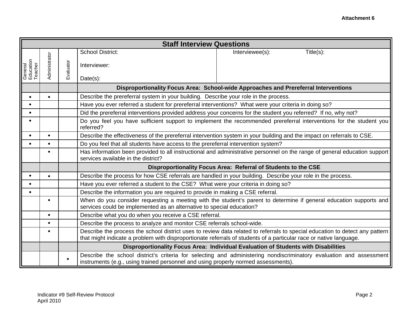|                                 | <b>Staff Interview Questions</b> |           |                                                                                                                                                                                                                                                    |                                                                |              |  |
|---------------------------------|----------------------------------|-----------|----------------------------------------------------------------------------------------------------------------------------------------------------------------------------------------------------------------------------------------------------|----------------------------------------------------------------|--------------|--|
|                                 |                                  |           | <b>School District:</b>                                                                                                                                                                                                                            | Interviewee(s):                                                | $Title(s)$ : |  |
| General<br>Education<br>Teacher | Administrator                    | Evaluator | Interviewer:                                                                                                                                                                                                                                       |                                                                |              |  |
|                                 |                                  |           | Date(s):                                                                                                                                                                                                                                           |                                                                |              |  |
|                                 |                                  |           | Disproportionality Focus Area: School-wide Approaches and Prereferral Interventions                                                                                                                                                                |                                                                |              |  |
| $\bullet$                       |                                  |           | Describe the prereferral system in your building. Describe your role in the process.                                                                                                                                                               |                                                                |              |  |
| $\bullet$                       |                                  |           | Have you ever referred a student for prereferral interventions? What were your criteria in doing so?                                                                                                                                               |                                                                |              |  |
| $\bullet$                       |                                  |           | Did the prereferral interventions provided address your concerns for the student you referred? If no, why not?                                                                                                                                     |                                                                |              |  |
|                                 |                                  |           | Do you feel you have sufficient support to implement the recommended prereferral interventions for the student you<br>referred?                                                                                                                    |                                                                |              |  |
| $\bullet$                       |                                  |           | Describe the effectiveness of the prereferral intervention system in your building and the impact on referrals to CSE.                                                                                                                             |                                                                |              |  |
|                                 | $\bullet$                        |           | Do you feel that all students have access to the prereferral intervention system?                                                                                                                                                                  |                                                                |              |  |
|                                 |                                  |           | Has information been provided to all instructional and administrative personnel on the range of general education support<br>services available in the district?                                                                                   |                                                                |              |  |
|                                 |                                  |           |                                                                                                                                                                                                                                                    | Disproportionality Focus Area: Referral of Students to the CSE |              |  |
| $\bullet$                       |                                  |           | Describe the process for how CSE referrals are handled in your building. Describe your role in the process.                                                                                                                                        |                                                                |              |  |
| $\bullet$                       |                                  |           | Have you ever referred a student to the CSE? What were your criteria in doing so?                                                                                                                                                                  |                                                                |              |  |
|                                 |                                  |           | Describe the information you are required to provide in making a CSE referral.                                                                                                                                                                     |                                                                |              |  |
|                                 | $\bullet$                        |           | When do you consider requesting a meeting with the student's parent to determine if general education supports and<br>services could be implemented as an alternative to special education?                                                        |                                                                |              |  |
|                                 | $\bullet$                        |           | Describe what you do when you receive a CSE referral.                                                                                                                                                                                              |                                                                |              |  |
|                                 |                                  |           | Describe the process to analyze and monitor CSE referrals school-wide.                                                                                                                                                                             |                                                                |              |  |
|                                 |                                  |           | Describe the process the school district uses to review data related to referrals to special education to detect any pattern<br>that might indicate a problem with disproportionate referrals of students of a particular race or native language. |                                                                |              |  |
|                                 |                                  |           | Disproportionality Focus Area: Individual Evaluation of Students with Disabilities                                                                                                                                                                 |                                                                |              |  |
|                                 |                                  |           | Describe the school district's criteria for selecting and administering nondiscriminatory evaluation and assessment<br>instruments (e.g., using trained personnel and using properly normed assessments).                                          |                                                                |              |  |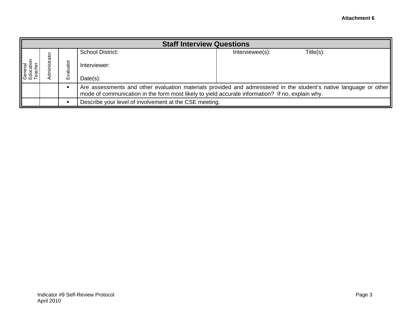|                                 | <b>Staff Interview Questions</b>                                                                                                                                                                                       |   |                                                        |                 |           |  |  |
|---------------------------------|------------------------------------------------------------------------------------------------------------------------------------------------------------------------------------------------------------------------|---|--------------------------------------------------------|-----------------|-----------|--|--|
|                                 |                                                                                                                                                                                                                        |   | <b>School District:</b>                                | Interviewee(s): | Title(s): |  |  |
| General<br>Education<br>Teacher | trator<br>ξ                                                                                                                                                                                                            |   | Interviewer:                                           |                 |           |  |  |
|                                 |                                                                                                                                                                                                                        | ш | $Date(s)$ :                                            |                 |           |  |  |
|                                 | Are assessments and other evaluation materials provided and administered in the student's native language or other<br>mode of communication in the form most likely to yield accurate information? If no, explain why. |   |                                                        |                 |           |  |  |
|                                 |                                                                                                                                                                                                                        |   | Describe your level of involvement at the CSE meeting. |                 |           |  |  |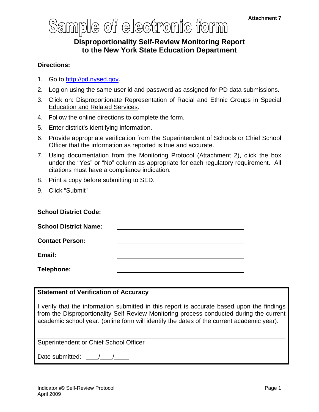# Sample of electronic form

## **Disproportionality Self-Review Monitoring Report to the New York State Education Department**

#### **Directions:**

- 1. Go to [http://pd.nysed.gov.](http://pd.nysed.gov/)
- 2. Log on using the same user id and password as assigned for PD data submissions.
- 3. Click on: Disproportionate Representation of Racial and Ethnic Groups in Special Education and Related Services.
- 4. Follow the online directions to complete the form.
- 5. Enter district's identifying information.
- 6. Provide appropriate verification from the Superintendent of Schools or Chief School Officer that the information as reported is true and accurate.
- 7. Using documentation from the Monitoring Protocol (Attachment 2), click the box under the "Yes" or "No" column as appropriate for each regulatory requirement. All citations must have a compliance indication.
- 8. Print a copy before submitting to SED.
- 9. Click "Submit"

| <b>School District Code:</b> |  |
|------------------------------|--|
| <b>School District Name:</b> |  |
| <b>Contact Person:</b>       |  |
| Email:                       |  |
| Telephone:                   |  |

#### **Statement of Verification of Accuracy**

I verify that the information submitted in this report is accurate based upon the findings from the Disproportionality Self-Review Monitoring process conducted during the current academic school year. (online form will identify the dates of the current academic year).

Superintendent or Chief School Officer

Date submitted:  $\frac{1}{2}$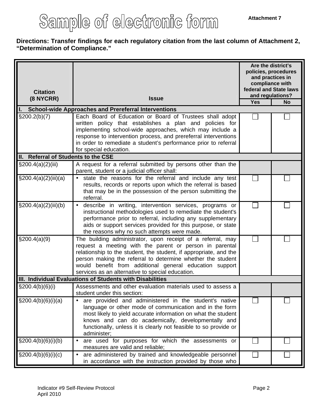# Sample of electronic form

#### **Directions: Transfer findings for each regulatory citation from the last column of Attachment 2, "Determination of Compliance."**

| <b>Citation</b><br>(8 NYCRR)        | <b>Issue</b>                                                                                                                                                                                                                                                                                                                                                              | Are the district's<br>policies, procedures<br>and practices in<br>compliance with<br>federal and State laws<br>and regulations? |           |
|-------------------------------------|---------------------------------------------------------------------------------------------------------------------------------------------------------------------------------------------------------------------------------------------------------------------------------------------------------------------------------------------------------------------------|---------------------------------------------------------------------------------------------------------------------------------|-----------|
|                                     |                                                                                                                                                                                                                                                                                                                                                                           | <b>Yes</b>                                                                                                                      | <b>No</b> |
|                                     | <b>School-wide Approaches and Prereferral Interventions</b>                                                                                                                                                                                                                                                                                                               |                                                                                                                                 |           |
| §200.2(b)(7)                        | Each Board of Education or Board of Trustees shall adopt<br>written policy that establishes a plan and policies for<br>implementing school-wide approaches, which may include a<br>response to intervention process, and prereferral interventions<br>in order to remediate a student's performance prior to referral<br>for special education.                           |                                                                                                                                 |           |
| II. Referral of Students to the CSE |                                                                                                                                                                                                                                                                                                                                                                           |                                                                                                                                 |           |
| $\S200.4(a)(2)(iii)$                | A request for a referral submitted by persons other than the<br>parent, student or a judicial officer shall:                                                                                                                                                                                                                                                              |                                                                                                                                 |           |
| \$200.4(a)(2)(iii)(a)               | state the reasons for the referral and include any test<br>results, records or reports upon which the referral is based<br>that may be in the possession of the person submitting the<br>referral.                                                                                                                                                                        |                                                                                                                                 |           |
| \$200.4(a)(2)(iii)(b)               | describe in writing, intervention services, programs or<br>$\bullet$<br>instructional methodologies used to remediate the student's<br>performance prior to referral, including any supplementary<br>aids or support services provided for this purpose, or state<br>the reasons why no such attempts were made.                                                          |                                                                                                                                 |           |
| $\S200.4(a)(9)$                     | The building administrator, upon receipt of a referral, may<br>request a meeting with the parent or person in parental<br>relationship to the student, the student, if appropriate, and the<br>person making the referral to determine whether the student<br>would benefit from additional general education support<br>services as an alternative to special education. |                                                                                                                                 |           |
|                                     | III. Individual Evaluations of Students with Disabilities                                                                                                                                                                                                                                                                                                                 |                                                                                                                                 |           |
| $\S200.4(b)(6)(i)$                  | Assessments and other evaluation materials used to assess a<br>student under this section:                                                                                                                                                                                                                                                                                |                                                                                                                                 |           |
| $\S200.4(b)(6)(i)(a)$               | are provided and administered in the student's native<br>language or other mode of communication and in the form<br>most likely to yield accurate information on what the student<br>knows and can do academically, developmentally and<br>functionally, unless it is clearly not feasible to so provide or<br>administer;                                                |                                                                                                                                 |           |
| $\S200.4(b)(6)(i)(b)$               | are used for purposes for which the assessments or<br>measures are valid and reliable;                                                                                                                                                                                                                                                                                    |                                                                                                                                 |           |
| $\S200.4(b)(6)(i)(c)$               | are administered by trained and knowledgeable personnel<br>in accordance with the instruction provided by those who                                                                                                                                                                                                                                                       |                                                                                                                                 |           |